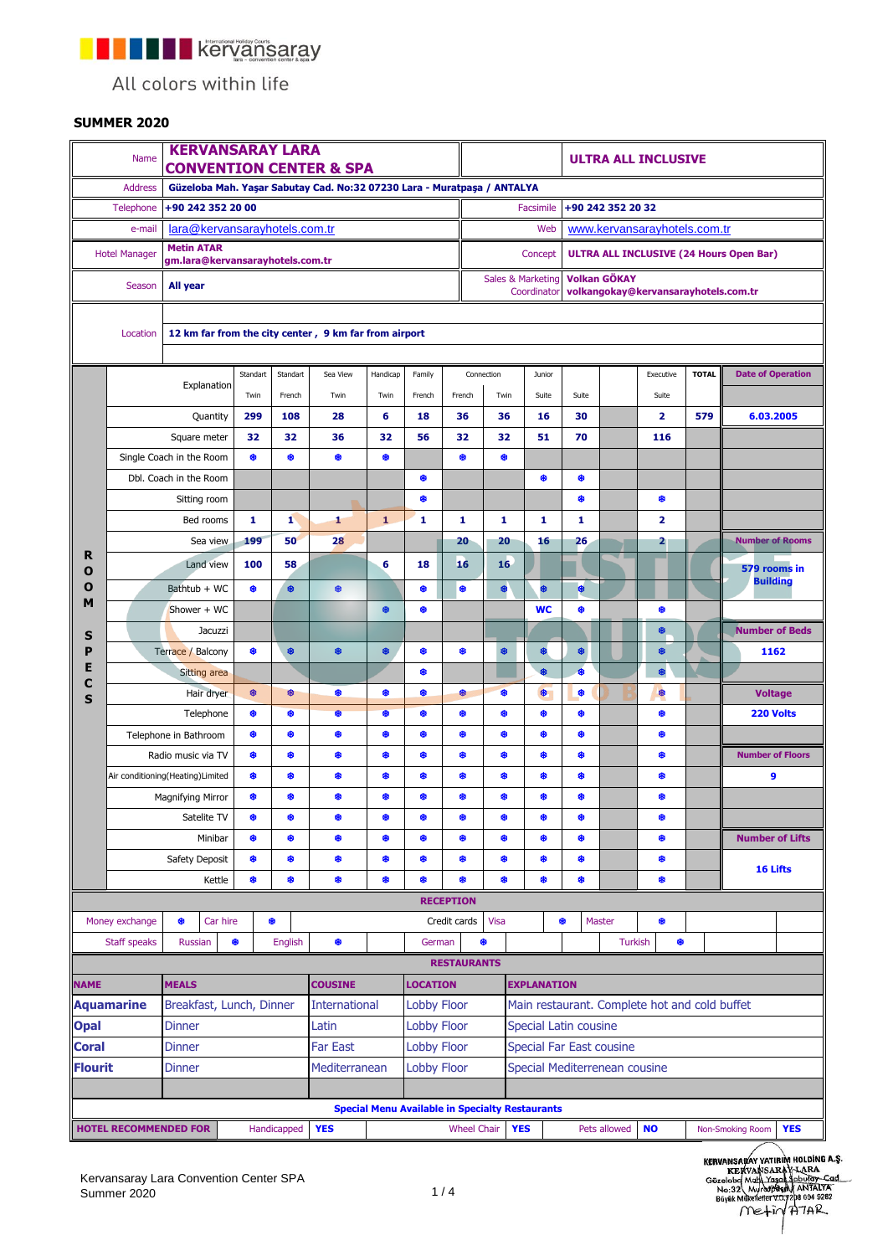**THE REPORT REPORTS A REPORT OF REAL PROPERTY** 

All colors within life

## **SUMMER 2020**

| <b>KERVANSARAY LARA</b><br>Name<br><b>CONVENTION CENTER &amp; SPA</b>                     |                              |                                                       |          |                                |             |                                                                                                 |              |                                                        | <b>ULTRA ALL INCLUSIVE</b> |                               |                    |                                                |                              |                |                                               |              |                                |  |
|-------------------------------------------------------------------------------------------|------------------------------|-------------------------------------------------------|----------|--------------------------------|-------------|-------------------------------------------------------------------------------------------------|--------------|--------------------------------------------------------|----------------------------|-------------------------------|--------------------|------------------------------------------------|------------------------------|----------------|-----------------------------------------------|--------------|--------------------------------|--|
| <b>Address</b><br>Güzeloba Mah. Yaşar Sabutay Cad. No:32 07230 Lara - Muratpaşa / ANTALYA |                              |                                                       |          |                                |             |                                                                                                 |              |                                                        |                            |                               |                    |                                                |                              |                |                                               |              |                                |  |
|                                                                                           | Telephone                    |                                                       |          | +90 242 352 20 32<br>Facsimile |             |                                                                                                 |              |                                                        |                            |                               |                    |                                                |                              |                |                                               |              |                                |  |
|                                                                                           | e-mail                       | lara@kervansarayhotels.com.tr                         |          |                                |             |                                                                                                 |              |                                                        |                            | Web                           |                    |                                                | www.kervansarayhotels.com.tr |                |                                               |              |                                |  |
| <b>Metin ATAR</b><br><b>Hotel Manager</b><br>gm.lara@kervansarayhotels.com.tr             |                              |                                                       |          |                                |             |                                                                                                 |              |                                                        |                            | Concept                       |                    | <b>ULTRA ALL INCLUSIVE (24 Hours Open Bar)</b> |                              |                |                                               |              |                                |  |
| All year<br>Season                                                                        |                              |                                                       |          |                                |             | <b>Volkan GÖKAY</b><br>Sales & Marketing<br>volkangokay@kervansarayhotels.com.tr<br>Coordinator |              |                                                        |                            |                               |                    |                                                |                              |                |                                               |              |                                |  |
|                                                                                           |                              |                                                       |          |                                |             |                                                                                                 |              |                                                        |                            |                               |                    |                                                |                              |                |                                               |              |                                |  |
|                                                                                           | Location                     | 12 km far from the city center, 9 km far from airport |          |                                |             |                                                                                                 |              |                                                        |                            |                               |                    |                                                |                              |                |                                               |              |                                |  |
|                                                                                           |                              |                                                       |          | Standart                       | Standart    | Sea View                                                                                        | Handicap     | Family<br>French                                       |                            | Connection                    | Junior             |                                                |                              |                | Executive                                     | <b>TOTAL</b> | <b>Date of Operation</b>       |  |
|                                                                                           |                              | Explanation                                           |          | Twin                           | French      | Twin                                                                                            | Twin         |                                                        | French                     | Twin                          |                    | Suite                                          | Suite                        |                | Suite                                         |              |                                |  |
|                                                                                           |                              | Quantity                                              |          | 299                            | 108         | 28                                                                                              | 6            | 18                                                     | 36                         | 36                            | 16                 |                                                | 30                           |                | $\overline{2}$                                | 579          | 6.03.2005                      |  |
|                                                                                           |                              | Square meter                                          |          | 32                             | 32          | 36                                                                                              | 32           | 56                                                     | 32                         | 32                            | 51                 |                                                | 70                           |                | 116                                           |              |                                |  |
|                                                                                           |                              | Single Coach in the Room                              |          | ۰                              | ۰           | ۰                                                                                               | ۰            |                                                        | ۰                          | ⊕                             |                    |                                                |                              |                |                                               |              |                                |  |
|                                                                                           |                              |                                                       |          |                                |             |                                                                                                 |              | ₩                                                      |                            |                               | ₩                  |                                                | ₩                            |                |                                               |              |                                |  |
|                                                                                           | Dbl. Coach in the Room       |                                                       |          |                                |             |                                                                                                 |              | ۰                                                      |                            |                               |                    |                                                | ۰                            |                | ۰                                             |              |                                |  |
| R                                                                                         |                              | Sitting room                                          |          |                                |             |                                                                                                 |              |                                                        |                            |                               |                    |                                                |                              |                |                                               |              |                                |  |
|                                                                                           |                              | Bed rooms                                             |          |                                | 1           | 1                                                                                               | $\mathbf{1}$ | 1                                                      | 1                          | 1                             | 1                  |                                                | 1                            |                | $\overline{2}$                                |              |                                |  |
|                                                                                           |                              | Sea view                                              |          | 199                            | 50          | 28                                                                                              |              |                                                        | 20                         | 20                            | 16                 |                                                | 26                           |                | 2                                             |              | <b>Number of Rooms</b>         |  |
| O                                                                                         |                              | Land view                                             |          | 100                            | 58          |                                                                                                 | 6            | 18                                                     | 16                         | 16                            |                    |                                                |                              |                |                                               |              | 579 rooms in                   |  |
| O<br>M                                                                                    | Bathtub + WC                 |                                                       |          | ۰                              | ₿.          | ♦                                                                                               |              | ۰                                                      | ۰                          | \$                            | 8                  |                                                | ₿                            |                |                                               |              | <b>Building</b>                |  |
|                                                                                           |                              | Shower + WC                                           |          |                                |             |                                                                                                 | ❀            | ₩                                                      |                            |                               | <b>WC</b>          |                                                | ₩                            |                | ۰                                             |              |                                |  |
| S                                                                                         | Jacuzzi                      |                                                       |          |                                |             |                                                                                                 |              |                                                        |                            |                               |                    |                                                |                              |                | ₿                                             |              | <b>Number of Beds</b>          |  |
| P                                                                                         | Terrace / Balcony<br>⊕       |                                                       |          | ۰                              | ♦           | ₩                                                                                               | ♣            | ❀                                                      | ₩                          | ♣                             |                    | ₩                                              |                              | ❀              |                                               | 1162         |                                |  |
| E                                                                                         | <b>Sitting area</b>          |                                                       |          |                                |             |                                                                                                 | ₩            |                                                        |                            | Ø.                            |                    | $\bullet$                                      |                              | ۰              |                                               |              |                                |  |
| C                                                                                         |                              | Hair dryer                                            |          |                                | ⊕           | ⊕                                                                                               | ۰            | ۰                                                      | ⊕                          | ₩                             | \$                 |                                                | ۰                            |                | ₩                                             |              | <b>Voltage</b>                 |  |
| S                                                                                         |                              | ⊕<br>Telephone                                        |          |                                | ۰           | \$                                                                                              | ₿.           | ۰                                                      | ۰                          | ٠                             | ۰                  |                                                | ₿                            |                | ۰                                             |              | 220 Volts                      |  |
|                                                                                           |                              | ۰<br>۰<br>Telephone in Bathroom                       |          |                                | ۰           | ۰                                                                                               | ۰            | ۰                                                      | ₩                          | ❀                             | ₩                  |                                                | ₩                            |                | ۰                                             |              |                                |  |
|                                                                                           |                              | ❀<br>Radio music via TV                               |          |                                | ❀           | ۰                                                                                               | ۰            | ❀                                                      | ❀                          | ❀                             | ₩                  |                                                | ₩                            |                | ٠                                             |              | <b>Number of Floors</b>        |  |
|                                                                                           |                              | Air conditioning (Heating) Limited                    |          |                                | ❀           | ♣                                                                                               | ⊕            | ⊕                                                      | ❀                          | ❀                             | ₩                  |                                                | ₿                            |                | ۰                                             |              | 9                              |  |
|                                                                                           |                              | Magnifying Mirror                                     |          |                                | 8           | ۰                                                                                               | ❀            | ❀                                                      | ٠                          | ❀                             | ❀                  |                                                | ₩                            |                | ۰                                             |              |                                |  |
|                                                                                           |                              | Satelite TV                                           |          |                                | ۰           | ۰                                                                                               | ۰            | ۰                                                      | ⊕                          | ⊕                             | ₩                  |                                                | ⊕                            |                | ۰                                             |              |                                |  |
|                                                                                           |                              | Minibar                                               |          | ۰                              | ۰           | ۰                                                                                               | ۰            | ⊕                                                      | ۰                          | ⊕                             | ₩                  |                                                | ۰                            |                | ۰                                             |              | <b>Number of Lifts</b>         |  |
|                                                                                           | Safety Deposit               |                                                       |          | ۰                              | ۰           | ۰                                                                                               | ۰            | ۰                                                      | ۰                          | ۰                             | ۰                  |                                                | ₩                            |                | ۰                                             |              |                                |  |
|                                                                                           |                              | Kettle                                                |          | ₿.                             | ۰           | ۰                                                                                               | ٠            | ۰                                                      | ۰                          | ۰                             | 0                  |                                                | ₩                            |                | ۰                                             |              | 16 Lifts                       |  |
|                                                                                           |                              |                                                       |          |                                |             |                                                                                                 |              |                                                        | <b>RECEPTION</b>           |                               |                    |                                                |                              |                |                                               |              |                                |  |
|                                                                                           | Money exchange               | ₩                                                     | Car hire |                                | ₩           |                                                                                                 |              |                                                        | Credit cards               | Visa                          |                    |                                                | ۰                            | Master         | ₩                                             |              |                                |  |
|                                                                                           | Staff speaks                 | <b>Russian</b>                                        | ♦        |                                | English     | ۰                                                                                               |              | German                                                 |                            | ♣                             |                    |                                                |                              | <b>Turkish</b> | ۰                                             |              |                                |  |
|                                                                                           |                              |                                                       |          |                                |             |                                                                                                 |              |                                                        | <b>RESTAURANTS</b>         |                               |                    |                                                |                              |                |                                               |              |                                |  |
| <b>NAME</b>                                                                               |                              | <b>MEALS</b>                                          |          |                                |             | <b>COUSINE</b>                                                                                  |              | <b>LOCATION</b>                                        |                            |                               | <b>EXPLANATION</b> |                                                |                              |                |                                               |              |                                |  |
|                                                                                           |                              | Breakfast, Lunch, Dinner                              |          |                                |             | <b>International</b>                                                                            |              | <b>Lobby Floor</b>                                     |                            |                               |                    |                                                |                              |                | Main restaurant. Complete hot and cold buffet |              |                                |  |
| <b>Aquamarine</b>                                                                         |                              |                                                       |          |                                |             | Latin                                                                                           |              |                                                        |                            |                               |                    |                                                |                              |                |                                               |              |                                |  |
| <b>Opal</b>                                                                               |                              | <b>Dinner</b>                                         |          |                                |             |                                                                                                 |              | <b>Lobby Floor</b>                                     |                            |                               |                    |                                                | Special Latin cousine        |                |                                               |              |                                |  |
| <b>Coral</b>                                                                              |                              | <b>Dinner</b>                                         |          |                                |             | <b>Far East</b><br><b>Lobby Floor</b>                                                           |              |                                                        |                            | Special Far East cousine      |                    |                                                |                              |                |                                               |              |                                |  |
| <b>Flourit</b>                                                                            |                              | <b>Dinner</b>                                         |          |                                |             | Mediterranean                                                                                   |              | <b>Lobby Floor</b>                                     |                            | Special Mediterrenean cousine |                    |                                                |                              |                |                                               |              |                                |  |
|                                                                                           |                              |                                                       |          |                                |             |                                                                                                 |              |                                                        |                            |                               |                    |                                                |                              |                |                                               |              |                                |  |
|                                                                                           |                              |                                                       |          |                                |             |                                                                                                 |              | <b>Special Menu Available in Specialty Restaurants</b> |                            |                               |                    |                                                |                              |                |                                               |              |                                |  |
|                                                                                           | <b>HOTEL RECOMMENDED FOR</b> |                                                       |          |                                | Handicapped | <b>YES</b>                                                                                      |              |                                                        | <b>Wheel Chair</b>         |                               | <b>YES</b>         |                                                |                              | Pets allowed   | <b>NO</b>                                     |              | <b>YES</b><br>Non-Smoking Room |  |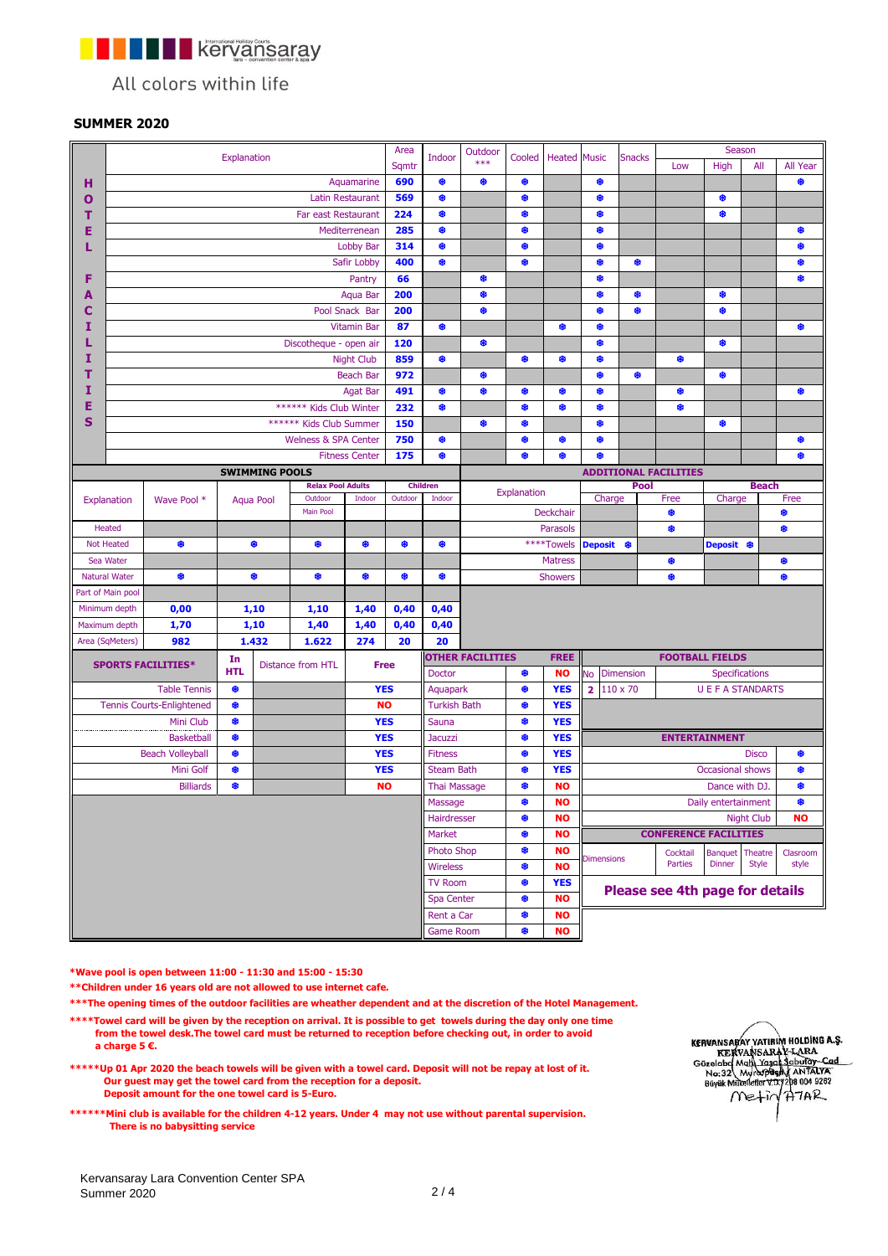**Kervansaray** n Fi

All colors within life

## **SUMMER 2020**

|                       |                      |                                  |                                 |                      |                                     |                       | Area                         |                           | Outdoor                  |            |                                          |                                                                 |                     | Season                 |                   |              |          |
|-----------------------|----------------------|----------------------------------|---------------------------------|----------------------|-------------------------------------|-----------------------|------------------------------|---------------------------|--------------------------|------------|------------------------------------------|-----------------------------------------------------------------|---------------------|------------------------|-------------------|--------------|----------|
|                       | Explanation          |                                  |                                 |                      |                                     |                       |                              | Indoor                    | ***                      | Cooled     | <b>Heated</b> Music                      |                                                                 | <b>Snacks</b>       | Low                    | High              | All          | All Year |
| н                     |                      |                                  |                                 |                      |                                     | Aquamarine            | 690                          | ۰                         | ۰                        | ₩,         |                                          | ₩                                                               |                     |                        |                   |              | ۰        |
| Ο                     |                      | <b>Latin Restaurant</b>          |                                 |                      |                                     |                       |                              | ۰                         |                          | ۰          |                                          | ₩                                                               |                     |                        | ₩                 |              |          |
| т                     | Far east Restaurant  |                                  |                                 |                      |                                     |                       |                              | ۰                         |                          | ۰          |                                          | ۰                                                               |                     |                        | ⊕                 |              |          |
| Е                     | Mediterrenean        |                                  |                                 |                      |                                     |                       |                              | ۰                         |                          | ۰          |                                          | ₩                                                               |                     |                        |                   |              | ₩        |
| L                     | Lobby Bar            |                                  |                                 |                      |                                     |                       |                              | ۰                         |                          | ۰          |                                          | ₩                                                               |                     |                        |                   |              | ₩        |
|                       |                      |                                  |                                 |                      |                                     | Safir Lobby           | 400                          | ۰                         |                          | ۰          |                                          | ₿                                                               | ₩                   |                        |                   |              | ₩        |
| F                     |                      |                                  |                                 |                      |                                     | Pantry                | 66                           |                           | ۰                        |            |                                          | ₩                                                               |                     |                        |                   |              | ₩        |
| А                     |                      |                                  |                                 |                      |                                     | Aqua Bar              | 200                          |                           | ۰                        |            |                                          | ۰                                                               | ₩                   |                        | ₩                 |              |          |
| С                     | Pool Snack Bar       |                                  |                                 |                      |                                     |                       |                              |                           | ⊕                        |            |                                          | ₩                                                               | ₩                   |                        | ₩                 |              |          |
| 1                     |                      |                                  |                                 |                      |                                     | <b>Vitamin Bar</b>    | 87                           | ۰                         |                          |            | ۰                                        | ♦                                                               |                     |                        |                   |              | ₩        |
|                       |                      |                                  |                                 |                      | Discotheque - open air              |                       | 120                          |                           | ۰                        |            |                                          | ₩                                                               |                     |                        | ₩                 |              |          |
| I                     |                      |                                  |                                 |                      |                                     | <b>Night Club</b>     | 859                          | ۰                         |                          | ۰          | ۰                                        | ₩                                                               |                     | ۰                      |                   |              |          |
| т                     |                      |                                  |                                 |                      |                                     | <b>Beach Bar</b>      | 972                          |                           | ۰                        |            |                                          | ₩                                                               | ₩                   |                        | ₩                 |              |          |
| I                     |                      |                                  |                                 |                      |                                     | Agat Bar              | 491                          | ۰                         | ۰                        | ۰          | ۰                                        | ₩                                                               |                     | ۰                      |                   |              | ₩        |
| Ε                     |                      |                                  |                                 |                      | ****** Kids Club Winter             |                       | 232                          | ⊕                         |                          | ۰          | ⊕                                        | ₩                                                               |                     | ۰                      |                   |              |          |
| S                     |                      |                                  |                                 |                      | ****** Kids Club Summer             |                       | 150                          |                           | ₩                        | ۰          |                                          | ₩                                                               |                     |                        | ₩                 |              |          |
|                       |                      |                                  |                                 |                      | Welness & SPA Center                |                       | 750                          | ۰                         |                          | ۰          | ۰                                        | ₩                                                               |                     |                        |                   |              | ₩        |
|                       |                      |                                  |                                 |                      |                                     | <b>Fitness Center</b> | 175                          | ۰                         |                          | ٠          | ۰                                        | ٠                                                               |                     |                        |                   |              | ۰        |
| <b>SWIMMING POOLS</b> |                      |                                  |                                 |                      |                                     |                       | <b>ADDITIONAL FACILITIES</b> |                           |                          |            |                                          |                                                                 |                     |                        |                   |              |          |
|                       |                      |                                  |                                 |                      | <b>Relax Pool Adults</b><br>Outdoor |                       | Outdoor                      | <b>Children</b><br>Indoor | Explanation<br>Deckchair |            |                                          | Charge                                                          | Pool                | Free                   | Charge            | <b>Beach</b> | Free     |
|                       | Explanation          | Wave Pool *                      |                                 | Aqua Pool            | Main Pool                           | Indoor                |                              |                           |                          |            |                                          |                                                                 |                     | ۰                      |                   |              | ♣        |
|                       | Heated               |                                  |                                 |                      |                                     |                       |                              |                           |                          |            | Parasols                                 |                                                                 |                     | ۰                      |                   |              | ₩        |
|                       | <b>Not Heated</b>    | 8                                |                                 | ₩                    | ۰                                   | ۰                     | ₩                            | ۰                         |                          |            | ****Towels                               | <b>Deposit</b>                                                  | ₩                   |                        | Deposit ®         |              |          |
|                       | Sea Water            |                                  |                                 |                      |                                     |                       |                              |                           |                          |            | <b>Matress</b>                           |                                                                 |                     | ۰                      |                   |              | ₩        |
|                       | <b>Natural Water</b> | ₩                                |                                 | ₩                    | ⊕                                   | ۰<br>⊕                |                              | ۰                         | <b>Showers</b>           |            |                                          |                                                                 | ۰                   |                        |                   | ۰            |          |
|                       | Part of Main pool    |                                  |                                 |                      |                                     |                       |                              |                           |                          |            |                                          |                                                                 |                     |                        |                   |              |          |
|                       | Minimum depth        | 0,00                             | 1,10                            |                      | 1,10                                | 1,40                  | 0,40                         |                           |                          |            |                                          |                                                                 |                     |                        |                   |              |          |
|                       | Maximum depth        | 1,70                             |                                 | 1,10<br>1,40<br>1,40 |                                     |                       | 0,40                         | 0,40                      |                          |            |                                          |                                                                 |                     |                        |                   |              |          |
|                       | Area (SqMeters)      | 982                              |                                 | 1.432                | 1.622                               | 274                   | 20                           | 20                        |                          |            |                                          |                                                                 |                     |                        |                   |              |          |
|                       |                      |                                  | In                              |                      |                                     |                       |                              |                           | <b>OTHER FACILITIES</b>  |            | <b>FREE</b>                              |                                                                 |                     | <b>FOOTBALL FIELDS</b> |                   |              |          |
|                       |                      | <b>SPORTS FACILITIES*</b>        | Distance from HTL<br><b>HTL</b> |                      |                                     | <b>Free</b>           | <b>Doctor</b>                |                           | ۰                        | <b>NO</b>  | No<br><b>Dimension</b><br>Specifications |                                                                 |                     |                        |                   |              |          |
|                       |                      | <b>Table Tennis</b>              | ₩                               |                      |                                     | <b>YES</b>            |                              | Aquapark                  |                          | ۰          | <b>YES</b>                               | 110 x 70<br><b>U E F A STANDARTS</b><br>$\overline{\mathbf{2}}$ |                     |                        |                   |              |          |
|                       |                      | <b>Tennis Courts-Enlightened</b> | ₩                               |                      |                                     | <b>NO</b>             |                              | <b>Turkish Bath</b>       |                          | ♣          | <b>YES</b>                               |                                                                 |                     |                        |                   |              |          |
|                       |                      | Mini Club                        | ۰                               |                      |                                     |                       | <b>YES</b>                   | Sauna                     |                          | ۰          | <b>YES</b>                               |                                                                 |                     |                        |                   |              |          |
|                       |                      | <b>Basketball</b>                | ۰                               |                      | <b>YES</b>                          |                       |                              | <b>Jacuzzi</b>            |                          | ۰          | <b>YES</b>                               |                                                                 |                     | <b>ENTERTAINMENT</b>   |                   |              |          |
|                       |                      | <b>Beach Volleyball</b>          | ⊕                               |                      | <b>YES</b>                          |                       |                              | <b>Fitness</b>            |                          | ₩          | <b>YES</b>                               | <b>Disco</b>                                                    |                     |                        |                   | ₩            |          |
|                       |                      | Mini Golf                        | ₩                               |                      |                                     | <b>YES</b>            |                              | <b>Steam Bath</b>         |                          | ♣          | <b>YES</b>                               | Occasional shows<br>₩                                           |                     |                        |                   |              |          |
| ₩<br><b>Billiards</b> |                      |                                  | <b>NO</b>                       | <b>Thai Massage</b>  |                                     | ♣                     | <b>NO</b>                    | Dance with DJ.            |                          |            | ₩                                        |                                                                 |                     |                        |                   |              |          |
|                       |                      |                                  |                                 |                      |                                     | Massage               |                              | ۰                         | <b>NO</b>                |            |                                          |                                                                 | Daily entertainment |                        | ₩                 |              |          |
|                       |                      |                                  |                                 |                      |                                     |                       | Hairdresser                  |                           | ۰                        | NO         |                                          |                                                                 |                     |                        | <b>Night Club</b> | <b>NO</b>    |          |
|                       |                      |                                  |                                 |                      |                                     |                       | Market                       |                           | ۰                        | <b>NO</b>  | <b>CONFERENCE FACILITIES</b>             |                                                                 |                     |                        |                   |              |          |
|                       |                      |                                  |                                 |                      |                                     |                       |                              | <b>Photo Shop</b>         |                          | ♣          | <b>NO</b>                                | <b>Dimensions</b>                                               |                     | Cocktail               | <b>Banquet</b>    | Theatre      | Clasroom |
|                       |                      |                                  |                                 |                      |                                     |                       |                              | <b>Wireless</b>           |                          | ₩          | <b>NO</b>                                |                                                                 |                     | Parties                | <b>Dinner</b>     | <b>Style</b> | style    |
|                       |                      |                                  |                                 |                      |                                     |                       | <b>TV Room</b>               |                           | \$                       | <b>YES</b> | Please see 4th page for details          |                                                                 |                     |                        |                   |              |          |
|                       |                      |                                  |                                 |                      |                                     |                       | Spa Center                   |                           | ۰                        | <b>NO</b>  |                                          |                                                                 |                     |                        |                   |              |          |
|                       |                      |                                  |                                 |                      |                                     |                       |                              | Rent a Car                |                          | ۰          | <b>NO</b>                                |                                                                 |                     |                        |                   |              |          |
|                       |                      |                                  |                                 |                      |                                     |                       |                              | <b>Game Room</b>          |                          | ۰          | <b>NO</b>                                |                                                                 |                     |                        |                   |              |          |

**\*Wave pool is open between 11:00 - 11:30 and 15:00 - 15:30**

**\*\*Children under 16 years old are not allowed to use internet cafe.** 

**\*\*\*The opening times of the outdoor facilities are wheather dependent and at the discretion of the Hotel Management.** 

- **\*\*\*\*Towel card will be given by the reception on arrival. It is possible to get towels during the day only one time from the towel desk.The towel card must be returned to reception before checking out, in order to avoid a charge 5 €.**
- **\*\*\*\*\*Up 01 Apr 2020 the beach towels will be given with a towel card. Deposit will not be repay at lost of it. Our guest may get the towel card from the reception for a deposit. Deposit amount for the one towel card is 5-Euro.**
- **\*\*\*\*\*\*Mini club is available for the children 4-12 years. Under 4 may not use without parental supervision. There is no babysitting service**

KERVANSARAY YATIRIM HOLDING A.S.<br>KERVANSARAY-LARA<br>Gözelobd Math Yaşah Saburay-Cad<br>No:32 Muraparay ANTALYA<br>Büyük Mükeletler V.U.72p8 004 9262<br>Metri T.U.7 H.TAR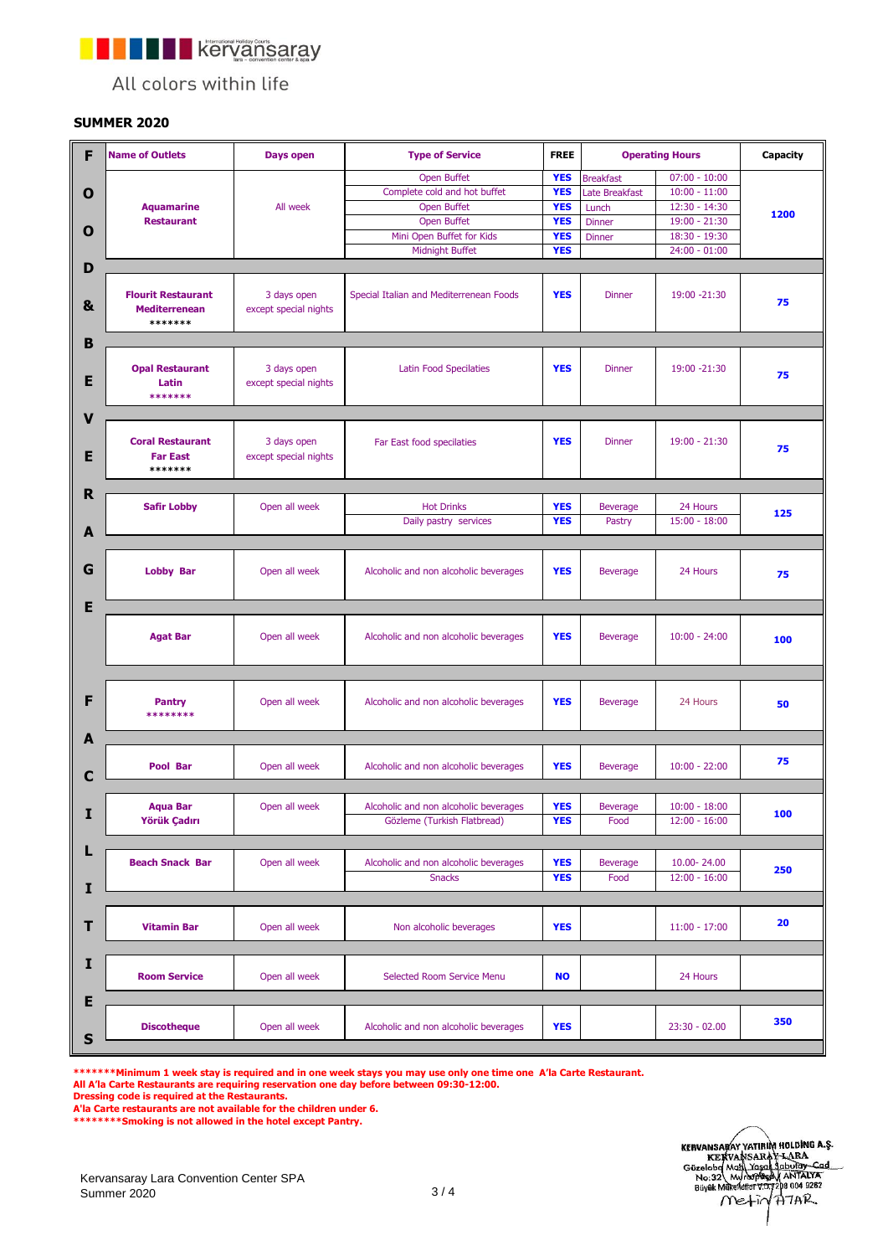**TERMINE REPORTS AND THE REPORTS AFTER** 

All colors within life

## **SUMMER 2020**

| F              | <b>Name of Outlets</b>                                       | Days open                            | <b>Type of Service</b>                  | <b>FREE</b>              | <b>Operating Hours</b> | Capacity                           |            |
|----------------|--------------------------------------------------------------|--------------------------------------|-----------------------------------------|--------------------------|------------------------|------------------------------------|------------|
|                |                                                              |                                      | <b>Open Buffet</b>                      |                          | <b>Breakfast</b>       |                                    |            |
| O              |                                                              |                                      | Complete cold and hot buffet            | <b>YES</b><br><b>YES</b> | Late Breakfast         | $07:00 - 10:00$<br>$10:00 - 11:00$ |            |
|                | <b>Aquamarine</b>                                            | All week                             | <b>Open Buffet</b>                      | <b>YES</b>               | Lunch                  | 12:30 - 14:30                      |            |
|                | <b>Restaurant</b>                                            |                                      | <b>Open Buffet</b>                      | <b>YES</b>               | <b>Dinner</b>          | $19:00 - 21:30$                    | 1200       |
| O              |                                                              |                                      | Mini Open Buffet for Kids               | <b>YES</b>               | <b>Dinner</b>          | 18:30 - 19:30                      |            |
|                |                                                              |                                      | Midnight Buffet                         | <b>YES</b>               |                        | $24:00 - 01:00$                    |            |
|                |                                                              |                                      |                                         |                          |                        |                                    |            |
| D              |                                                              |                                      |                                         |                          |                        |                                    |            |
| &              | <b>Flourit Restaurant</b><br><b>Mediterrenean</b><br>******* | 3 days open<br>except special nights | Special Italian and Mediterrenean Foods | <b>YES</b>               | <b>Dinner</b>          | 19:00 -21:30                       | 75         |
|                |                                                              |                                      |                                         |                          |                        |                                    |            |
| B              |                                                              |                                      |                                         |                          |                        |                                    |            |
| E              | <b>Opal Restaurant</b><br>Latin<br>*******                   | 3 days open<br>except special nights | <b>Latin Food Specilaties</b>           | <b>YES</b>               | <b>Dinner</b>          | 19:00 -21:30                       | 75         |
| V              |                                                              |                                      |                                         |                          |                        |                                    |            |
| E              | <b>Coral Restaurant</b><br><b>Far East</b><br>*******        | 3 days open<br>except special nights | Far East food specilaties               | <b>YES</b>               | <b>Dinner</b>          | $19:00 - 21:30$                    | 75         |
|                |                                                              |                                      |                                         |                          |                        |                                    |            |
| R              | <b>Safir Lobby</b>                                           | Open all week                        | <b>Hot Drinks</b>                       | <b>YES</b>               | <b>Beverage</b>        | 24 Hours                           |            |
|                |                                                              |                                      |                                         | <b>YES</b>               |                        | $15:00 - 18:00$                    | 125        |
| A              |                                                              |                                      | Daily pastry services                   |                          | Pastry                 |                                    |            |
|                |                                                              |                                      |                                         |                          |                        |                                    |            |
| G              | <b>Lobby Bar</b>                                             | Open all week                        | Alcoholic and non alcoholic beverages   | <b>YES</b>               | <b>Beverage</b>        | 24 Hours                           | 75         |
| Е              |                                                              |                                      |                                         |                          |                        |                                    |            |
|                | <b>Agat Bar</b>                                              | Open all week                        | Alcoholic and non alcoholic beverages   | <b>YES</b>               | <b>Beverage</b>        | $10:00 - 24:00$                    | 100        |
| F              | <b>Pantry</b><br>********                                    | Open all week                        | Alcoholic and non alcoholic beverages   | <b>YES</b>               | <b>Beverage</b>        | 24 Hours                           | 50         |
| A              |                                                              |                                      |                                         |                          |                        |                                    |            |
| С              | Pool Bar                                                     | Open all week                        | Alcoholic and non alcoholic beverages   | <b>YES</b>               | <b>Beverage</b>        | $10:00 - 22:00$                    | 75         |
|                |                                                              |                                      |                                         |                          |                        |                                    |            |
| I              | Aqua Bar                                                     | Open all week                        | Alcoholic and non alcoholic beverages   | <b>YES</b>               | <b>Beverage</b>        | $10:00 - 18:00$                    | <b>100</b> |
|                | Yörük Çadırı                                                 |                                      | Gözleme (Turkish Flatbread)             | <b>YES</b>               | Food                   | $12:00 - 16:00$                    |            |
|                |                                                              |                                      |                                         |                          |                        |                                    |            |
| L              |                                                              |                                      |                                         |                          |                        |                                    |            |
|                | <b>Beach Snack Bar</b>                                       | Open all week                        | Alcoholic and non alcoholic beverages   | <b>YES</b>               | <b>Beverage</b>        | 10.00-24.00                        | 250        |
|                |                                                              |                                      | <b>Snacks</b>                           | <b>YES</b>               | Food                   | $12:00 - 16:00$                    |            |
| I              |                                                              |                                      |                                         |                          |                        |                                    |            |
| т              | <b>Vitamin Bar</b>                                           | Open all week                        | Non alcoholic beverages                 | <b>YES</b>               |                        | $11:00 - 17:00$                    | 20         |
| I              | <b>Room Service</b>                                          | Open all week                        | Selected Room Service Menu              | <b>NO</b>                |                        | 24 Hours                           |            |
| E<br>${\sf s}$ | <b>Discotheque</b>                                           | Open all week                        | Alcoholic and non alcoholic beverages   | <b>YES</b>               |                        | $23:30 - 02.00$                    | 350        |

**All A'la Carte Restaurants are requiring reservation one day before between 09:30-12:00. \*\*\*\*\*\*\*Minimum 1 week stay is required and in one week stays you may use only one time one A'la Carte Restaurant.**

**A'la Carte restaurants are not available for the children under 6. Dressing code is required at the Restaurants.**

**\*\*\*\*\*\*\*\*Smoking is not allowed in the hotel except Pantry.**